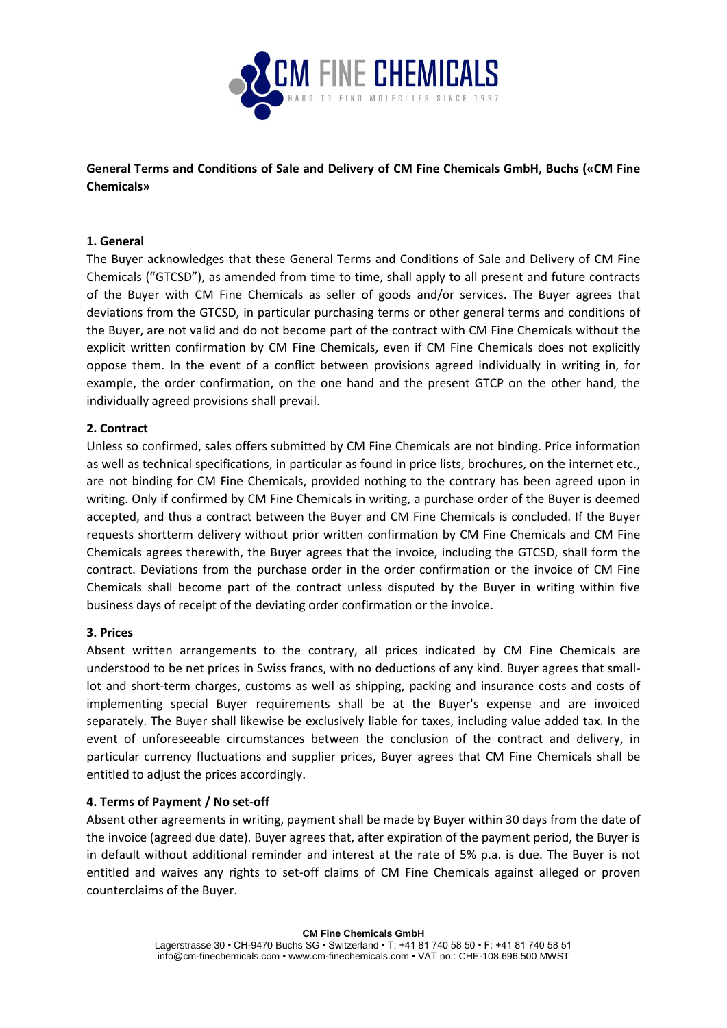

# **General Terms and Conditions of Sale and Delivery of CM Fine Chemicals GmbH, Buchs («CM Fine Chemicals»**

# **1. General**

The Buyer acknowledges that these General Terms and Conditions of Sale and Delivery of CM Fine Chemicals ("GTCSD"), as amended from time to time, shall apply to all present and future contracts of the Buyer with CM Fine Chemicals as seller of goods and/or services. The Buyer agrees that deviations from the GTCSD, in particular purchasing terms or other general terms and conditions of the Buyer, are not valid and do not become part of the contract with CM Fine Chemicals without the explicit written confirmation by CM Fine Chemicals, even if CM Fine Chemicals does not explicitly oppose them. In the event of a conflict between provisions agreed individually in writing in, for example, the order confirmation, on the one hand and the present GTCP on the other hand, the individually agreed provisions shall prevail.

# **2. Contract**

Unless so confirmed, sales offers submitted by CM Fine Chemicals are not binding. Price information as well as technical specifications, in particular as found in price lists, brochures, on the internet etc., are not binding for CM Fine Chemicals, provided nothing to the contrary has been agreed upon in writing. Only if confirmed by CM Fine Chemicals in writing, a purchase order of the Buyer is deemed accepted, and thus a contract between the Buyer and CM Fine Chemicals is concluded. If the Buyer requests shortterm delivery without prior written confirmation by CM Fine Chemicals and CM Fine Chemicals agrees therewith, the Buyer agrees that the invoice, including the GTCSD, shall form the contract. Deviations from the purchase order in the order confirmation or the invoice of CM Fine Chemicals shall become part of the contract unless disputed by the Buyer in writing within five business days of receipt of the deviating order confirmation or the invoice.

### **3. Prices**

Absent written arrangements to the contrary, all prices indicated by CM Fine Chemicals are understood to be net prices in Swiss francs, with no deductions of any kind. Buyer agrees that smalllot and short-term charges, customs as well as shipping, packing and insurance costs and costs of implementing special Buyer requirements shall be at the Buyer's expense and are invoiced separately. The Buyer shall likewise be exclusively liable for taxes, including value added tax. In the event of unforeseeable circumstances between the conclusion of the contract and delivery, in particular currency fluctuations and supplier prices, Buyer agrees that CM Fine Chemicals shall be entitled to adjust the prices accordingly.

### **4. Terms of Payment / No set-off**

Absent other agreements in writing, payment shall be made by Buyer within 30 days from the date of the invoice (agreed due date). Buyer agrees that, after expiration of the payment period, the Buyer is in default without additional reminder and interest at the rate of 5% p.a. is due. The Buyer is not entitled and waives any rights to set-off claims of CM Fine Chemicals against alleged or proven counterclaims of the Buyer.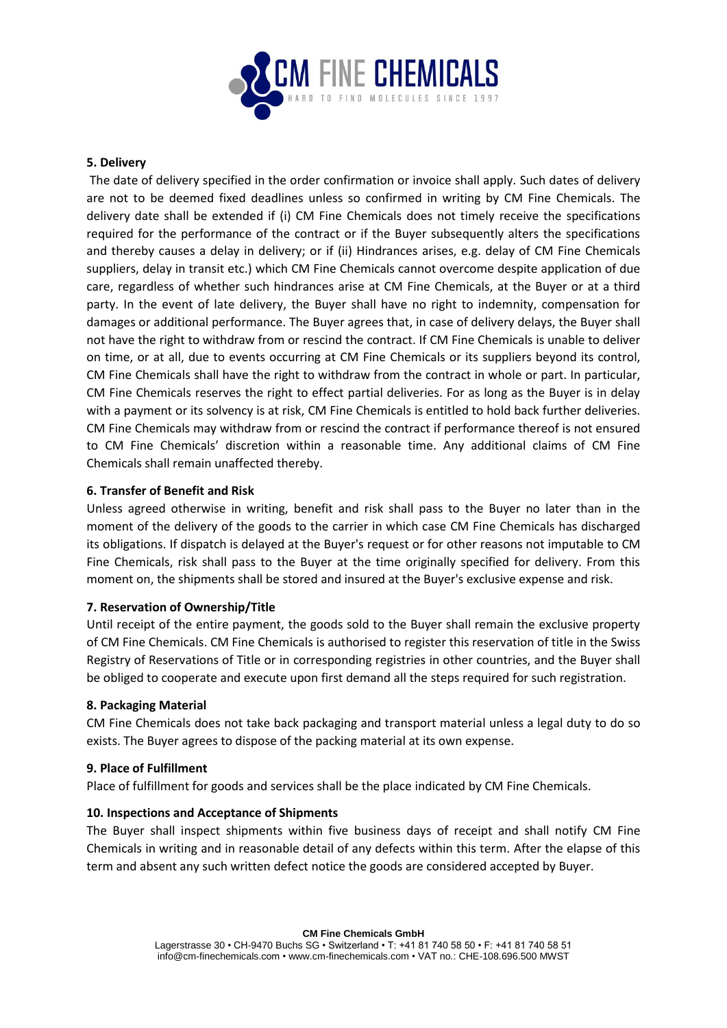

### **5. Delivery**

The date of delivery specified in the order confirmation or invoice shall apply. Such dates of delivery are not to be deemed fixed deadlines unless so confirmed in writing by CM Fine Chemicals. The delivery date shall be extended if (i) CM Fine Chemicals does not timely receive the specifications required for the performance of the contract or if the Buyer subsequently alters the specifications and thereby causes a delay in delivery; or if (ii) Hindrances arises, e.g. delay of CM Fine Chemicals suppliers, delay in transit etc.) which CM Fine Chemicals cannot overcome despite application of due care, regardless of whether such hindrances arise at CM Fine Chemicals, at the Buyer or at a third party. In the event of late delivery, the Buyer shall have no right to indemnity, compensation for damages or additional performance. The Buyer agrees that, in case of delivery delays, the Buyer shall not have the right to withdraw from or rescind the contract. If CM Fine Chemicals is unable to deliver on time, or at all, due to events occurring at CM Fine Chemicals or its suppliers beyond its control, CM Fine Chemicals shall have the right to withdraw from the contract in whole or part. In particular, CM Fine Chemicals reserves the right to effect partial deliveries. For as long as the Buyer is in delay with a payment or its solvency is at risk, CM Fine Chemicals is entitled to hold back further deliveries. CM Fine Chemicals may withdraw from or rescind the contract if performance thereof is not ensured to CM Fine Chemicals' discretion within a reasonable time. Any additional claims of CM Fine Chemicals shall remain unaffected thereby.

### **6. Transfer of Benefit and Risk**

Unless agreed otherwise in writing, benefit and risk shall pass to the Buyer no later than in the moment of the delivery of the goods to the carrier in which case CM Fine Chemicals has discharged its obligations. If dispatch is delayed at the Buyer's request or for other reasons not imputable to CM Fine Chemicals, risk shall pass to the Buyer at the time originally specified for delivery. From this moment on, the shipments shall be stored and insured at the Buyer's exclusive expense and risk.

### **7. Reservation of Ownership/Title**

Until receipt of the entire payment, the goods sold to the Buyer shall remain the exclusive property of CM Fine Chemicals. CM Fine Chemicals is authorised to register this reservation of title in the Swiss Registry of Reservations of Title or in corresponding registries in other countries, and the Buyer shall be obliged to cooperate and execute upon first demand all the steps required for such registration.

### **8. Packaging Material**

CM Fine Chemicals does not take back packaging and transport material unless a legal duty to do so exists. The Buyer agrees to dispose of the packing material at its own expense.

### **9. Place of Fulfillment**

Place of fulfillment for goods and services shall be the place indicated by CM Fine Chemicals.

### **10. Inspections and Acceptance of Shipments**

The Buyer shall inspect shipments within five business days of receipt and shall notify CM Fine Chemicals in writing and in reasonable detail of any defects within this term. After the elapse of this term and absent any such written defect notice the goods are considered accepted by Buyer.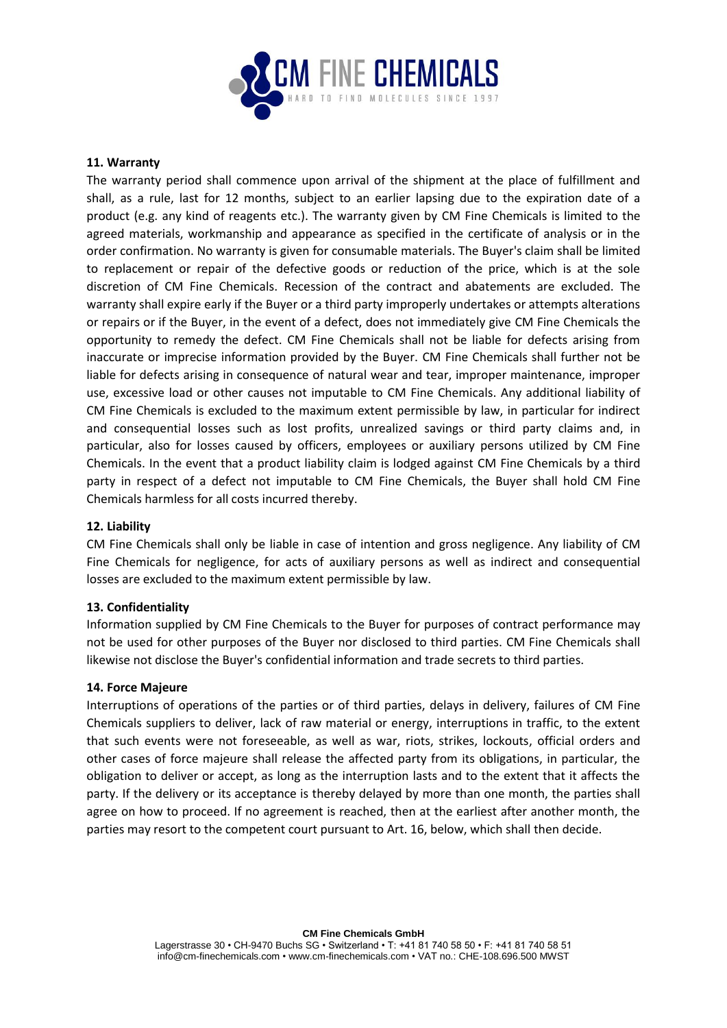

#### **11. Warranty**

The warranty period shall commence upon arrival of the shipment at the place of fulfillment and shall, as a rule, last for 12 months, subject to an earlier lapsing due to the expiration date of a product (e.g. any kind of reagents etc.). The warranty given by CM Fine Chemicals is limited to the agreed materials, workmanship and appearance as specified in the certificate of analysis or in the order confirmation. No warranty is given for consumable materials. The Buyer's claim shall be limited to replacement or repair of the defective goods or reduction of the price, which is at the sole discretion of CM Fine Chemicals. Recession of the contract and abatements are excluded. The warranty shall expire early if the Buyer or a third party improperly undertakes or attempts alterations or repairs or if the Buyer, in the event of a defect, does not immediately give CM Fine Chemicals the opportunity to remedy the defect. CM Fine Chemicals shall not be liable for defects arising from inaccurate or imprecise information provided by the Buyer. CM Fine Chemicals shall further not be liable for defects arising in consequence of natural wear and tear, improper maintenance, improper use, excessive load or other causes not imputable to CM Fine Chemicals. Any additional liability of CM Fine Chemicals is excluded to the maximum extent permissible by law, in particular for indirect and consequential losses such as lost profits, unrealized savings or third party claims and, in particular, also for losses caused by officers, employees or auxiliary persons utilized by CM Fine Chemicals. In the event that a product liability claim is lodged against CM Fine Chemicals by a third party in respect of a defect not imputable to CM Fine Chemicals, the Buyer shall hold CM Fine Chemicals harmless for all costs incurred thereby.

### **12. Liability**

CM Fine Chemicals shall only be liable in case of intention and gross negligence. Any liability of CM Fine Chemicals for negligence, for acts of auxiliary persons as well as indirect and consequential losses are excluded to the maximum extent permissible by law.

### **13. Confidentiality**

Information supplied by CM Fine Chemicals to the Buyer for purposes of contract performance may not be used for other purposes of the Buyer nor disclosed to third parties. CM Fine Chemicals shall likewise not disclose the Buyer's confidential information and trade secrets to third parties.

#### **14. Force Majeure**

Interruptions of operations of the parties or of third parties, delays in delivery, failures of CM Fine Chemicals suppliers to deliver, lack of raw material or energy, interruptions in traffic, to the extent that such events were not foreseeable, as well as war, riots, strikes, lockouts, official orders and other cases of force majeure shall release the affected party from its obligations, in particular, the obligation to deliver or accept, as long as the interruption lasts and to the extent that it affects the party. If the delivery or its acceptance is thereby delayed by more than one month, the parties shall agree on how to proceed. If no agreement is reached, then at the earliest after another month, the parties may resort to the competent court pursuant to Art. 16, below, which shall then decide.